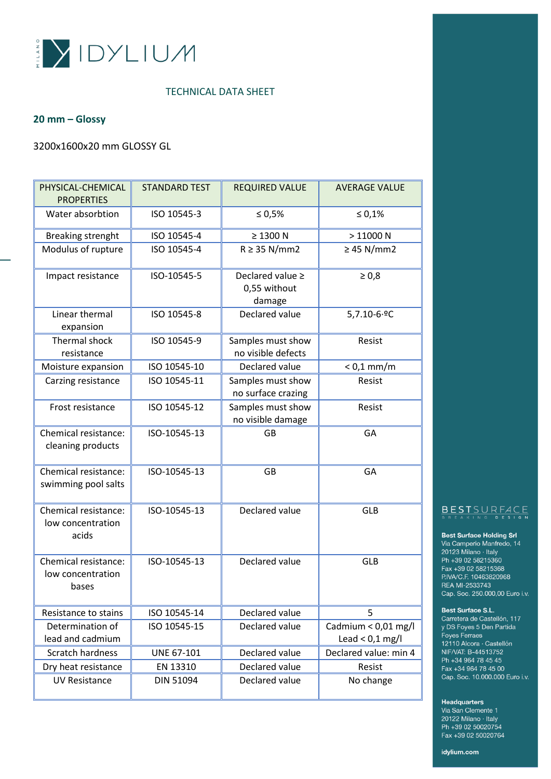

## **20 mm – Glossy**

## 3200x1600x20 mm GLOSSY GL

| PHYSICAL-CHEMICAL<br><b>PROPERTIES</b>             | <b>STANDARD TEST</b> | <b>REQUIRED VALUE</b>                           | <b>AVERAGE VALUE</b>                       |
|----------------------------------------------------|----------------------|-------------------------------------------------|--------------------------------------------|
| Water absorbtion                                   | ISO 10545-3          | ≤ 0,5%                                          | $\leq 0.1\%$                               |
| <b>Breaking strenght</b>                           | ISO 10545-4          | $\geq$ 1300 N                                   | >11000N                                    |
| Modulus of rupture                                 | ISO 10545-4          | $R \geq 35$ N/mm2                               | $\geq$ 45 N/mm2                            |
| Impact resistance                                  | ISO-10545-5          | Declared value $\geq$<br>0,55 without<br>damage | $\geq 0.8$                                 |
| Linear thermal<br>expansion                        | ISO 10545-8          | Declared value                                  | $5,7.10 - 6.9C$                            |
| Thermal shock<br>resistance                        | ISO 10545-9          | Samples must show<br>no visible defects         | Resist                                     |
| Moisture expansion                                 | ISO 10545-10         | Declared value                                  | $< 0.1$ mm/m                               |
| Carzing resistance                                 | ISO 10545-11         | Samples must show<br>no surface crazing         | Resist                                     |
| Frost resistance                                   | ISO 10545-12         | Samples must show<br>no visible damage          | Resist                                     |
| Chemical resistance:<br>cleaning products          | ISO-10545-13         | GB                                              | GA                                         |
| Chemical resistance:<br>swimming pool salts        | ISO-10545-13         | <b>GB</b>                                       | GA                                         |
| Chemical resistance:<br>low concentration<br>acids | ISO-10545-13         | Declared value                                  | <b>GLB</b>                                 |
| Chemical resistance:<br>low concentration<br>bases | ISO-10545-13         | Declared value                                  | <b>GLB</b>                                 |
| Resistance to stains                               | ISO 10545-14         | Declared value                                  | 5                                          |
| Determination of<br>lead and cadmium               | ISO 10545-15         | Declared value                                  | Cadmium < $0,01$ mg/l<br>Lead < $0,1$ mg/l |
| Scratch hardness                                   | UNE 67-101           | Declared value                                  | Declared value: min 4                      |
| Dry heat resistance                                | EN 13310             | Declared value                                  | Resist                                     |
| <b>UV Resistance</b>                               | DIN 51094            | Declared value                                  | No change                                  |

# BESTSURFACE

### **Best Surface Holding Srl**

Via Camperio Manfredo, 14  $20123$  Milano · Italy<br>Ph +39 02 58215360 Fax +39 02 58215368 P.IVA/C.F. 10463820968 REA MI-2533743 Cap. Soc. 250.000,00 Euro i.v.

#### Best Surface S.L.

Carretera de Castellón, 117 y DS Foyes 5 Den Partida Foyes Ferraes 12110 Alcora · Castellón NIF/VAT: B-44513752 Ph +34 964 78 45 45 Fax +34 964 78 45 00 Cap. Soc. 10.000.000 Euro i.v.

#### Headquarters

Via San Clemente 1 20122 Milano · Italy Ph +39 02 50020754 Fax +39 02 50020764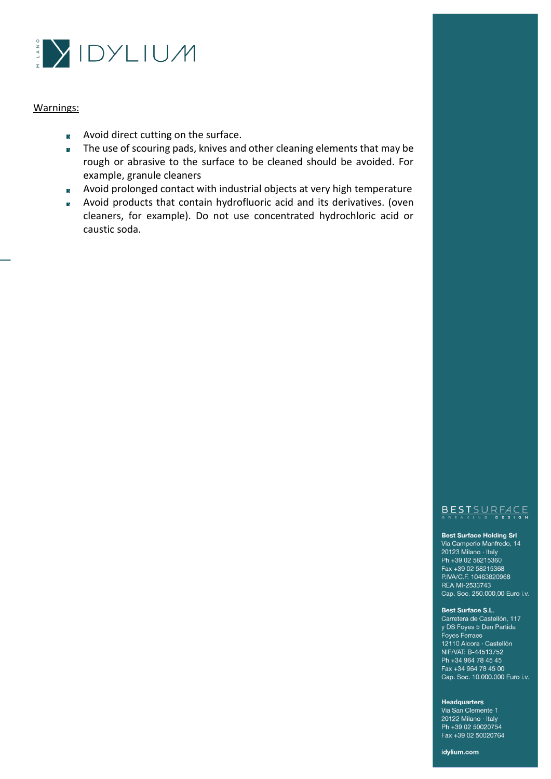

- Avoid direct cutting on the surface.  $\overline{\mathbf{y}}$
- The use of scouring pads, knives and other cleaning elements that may be  $\overline{y}$ rough or abrasive to the surface to be cleaned should be avoided. For example, granule cleaners
- Avoid prolonged contact with industrial objects at very high temperature  $\triangleright$
- Avoid products that contain hydrofluoric acid and its derivatives. (oven  $\lambda$ cleaners, for example). Do not use concentrated hydrochloric acid or caustic soda.

## BESTSURFACE

#### **Best Surface Holding Srl**

Via Camperio Manfredo, 14 20123 Milano · Italy Ph +39 02 58215360 Fax +39 02 58215368 P.IVA/C.F. 10463820968 REA MI-2533743 Cap. Soc. 250.000,00 Euro i.v.

#### Best Surface S.L.

Carretera de Castellón, 117 y DS Foyes 5 Den Partida Foyes Ferraes 12110 Alcora · Castellón NIF/VAT: B-44513752 Ph +34 964 78 45 45 Fax +34 964 78 45 00 Cap. Soc. 10.000.000 Euro i.v.

#### **Headquarters**

Via San Clemente 1 20122 Milano · Italy Ph +39 02 50020754 Fax +39 02 50020764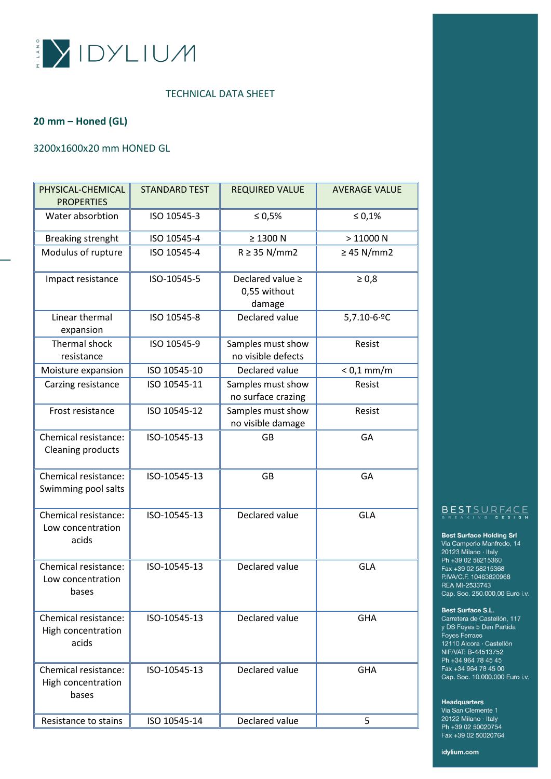

## **20 mm – Honed (GL)**

## 3200x1600x20 mm HONED GL

| PHYSICAL-CHEMICAL<br><b>PROPERTIES</b>              | <b>STANDARD TEST</b> | <b>REQUIRED VALUE</b>                      | <b>AVERAGE VALUE</b> |
|-----------------------------------------------------|----------------------|--------------------------------------------|----------------------|
| Water absorbtion                                    | ISO 10545-3          | ≤ 0,5%                                     | $\leq 0.1\%$         |
| <b>Breaking strenght</b>                            | ISO 10545-4          | $\geq$ 1300 N                              | >11000N              |
| Modulus of rupture                                  | ISO 10545-4          | $R \geq 35$ N/mm2                          | $\geq$ 45 N/mm2      |
| Impact resistance                                   | ISO-10545-5          | Declared value ≥<br>0,55 without<br>damage | $\geq 0.8$           |
| Linear thermal<br>expansion                         | ISO 10545-8          | Declared value                             | $5,7.10 - 6.9C$      |
| Thermal shock<br>resistance                         | ISO 10545-9          | Samples must show<br>no visible defects    | Resist               |
| Moisture expansion                                  | ISO 10545-10         | Declared value                             | $< 0.1$ mm/m         |
| Carzing resistance                                  | ISO 10545-11         | Samples must show<br>no surface crazing    | Resist               |
| Frost resistance                                    | ISO 10545-12         | Samples must show<br>no visible damage     | Resist               |
| Chemical resistance:<br><b>Cleaning products</b>    | ISO-10545-13         | GB                                         | GA                   |
| Chemical resistance:<br>Swimming pool salts         | ISO-10545-13         | GB                                         | GA                   |
| Chemical resistance:<br>Low concentration<br>acids  | ISO-10545-13         | Declared value                             | <b>GLA</b>           |
| Chemical resistance:<br>Low concentration<br>bases  | ISO-10545-13         | Declared value                             | <b>GLA</b>           |
| Chemical resistance:<br>High concentration<br>acids | ISO-10545-13         | Declared value                             | <b>GHA</b>           |
| Chemical resistance:<br>High concentration<br>bases | ISO-10545-13         | Declared value                             | <b>GHA</b>           |
| Resistance to stains                                | ISO 10545-14         | Declared value                             | 5                    |

## BESTSURFACE

#### **Best Surface Holding Srl**

Via Camperio Manfredo, 14  $20123$  Milano · Italy<br>Ph +39 02 58215360 Fax +39 02 58215368 P.IVA/C.F. 10463820968 REA MI-2533743 Cap. Soc. 250.000,00 Euro i.v.

#### Best Surface S.L.

Carretera de Castellón, 117 y DS Foyes 5 Den Partida Foyes Ferraes 12110 Alcora · Castellón NIF/VAT: B-44513752 Ph +34 964 78 45 45 Fax +34 964 78 45 00 Cap. Soc. 10.000.000 Euro i.v.

### Headquarters

Via San Clemente 1 20122 Milano · Italy Ph +39 02 50020754 Fax +39 02 50020764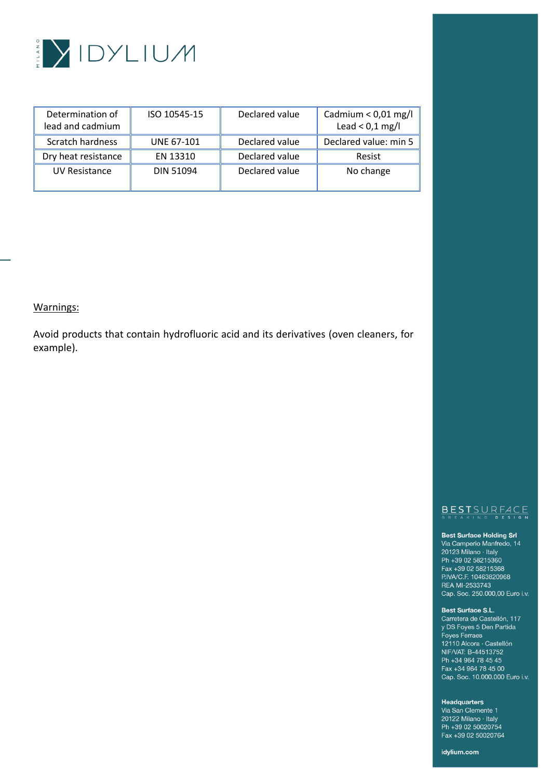

| Determination of<br>lead and cadmium | ISO 10545-15      | Declared value | Cadmium < $0.01$ mg/l<br>Lead < $0,1$ mg/l |
|--------------------------------------|-------------------|----------------|--------------------------------------------|
| Scratch hardness                     | <b>UNE 67-101</b> | Declared value | Declared value: min 5                      |
| Dry heat resistance                  | EN 13310          | Declared value | Resist                                     |
| UV Resistance                        | DIN 51094         | Declared value | No change                                  |

Avoid products that contain hydrofluoric acid and its derivatives (oven cleaners, for example).

## BESTSURFACE

#### **Best Surface Holding Srl**

Via Camperio Manfredo, 14 via Sampono Manno<br>20123 Milano - Italy<br>Ph +39 02 58215360 Fax +39 02 58215368 P.IVA/C.F. 10463820968 REA MI-2533743 Cap. Soc. 250.000,00 Euro i.v.

#### Best Surface S.L.

Carretera de Castellón, 117 y DS Foyes 5 Den Partida Foyes Ferraes 12110 Alcora · Castellón NIF/VAT: B-44513752 Ph +34 964 78 45 45 Fax +34 964 78 45 00 Cap. Soc. 10.000.000 Euro i.v.

#### Headquarters

Via San Clemente 1 20122 Milano · Italy Ph +39 02 50020754 Fax +39 02 50020764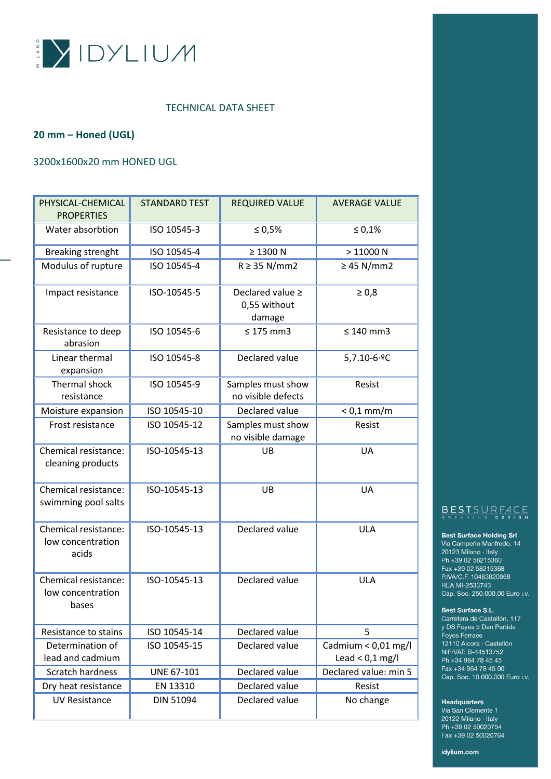

## **20 mm – Honed (UGL)**

## 3200x1600x20 mm HONED UGL

| PHYSICAL-CHEMICAL<br><b>PROPERTIES</b>             | <b>STANDARD TEST</b> | <b>REQUIRED VALUE</b>                           | <b>AVERAGE VALUE</b>                     |
|----------------------------------------------------|----------------------|-------------------------------------------------|------------------------------------------|
| Water absorbtion                                   | ISO 10545-3          | $\leq 0.5\%$                                    | $\le 0,1\%$                              |
| <b>Breaking strenght</b>                           | ISO 10545-4          | $\geq$ 1300 N                                   | >11000N                                  |
| Modulus of rupture                                 | ISO 10545-4          | $R \geq 35$ N/mm2                               | $\geq$ 45 N/mm2                          |
| Impact resistance                                  | ISO-10545-5          | Declared value $\geq$<br>0,55 without<br>damage | $\geq 0.8$                               |
| Resistance to deep<br>abrasion                     | ISO 10545-6          | $\leq 175$ mm3                                  | $\leq 140$ mm3                           |
| Linear thermal<br>expansion                        | ISO 10545-8          | Declared value                                  | 5,7.10-6.ºC                              |
| <b>Thermal shock</b><br>resistance                 | ISO 10545-9          | Samples must show<br>no visible defects         | Resist                                   |
| Moisture expansion                                 | ISO 10545-10         | Declared value                                  | $< 0.1$ mm/m                             |
| Frost resistance                                   | ISO 10545-12         | Samples must show<br>no visible damage          | Resist                                   |
| Chemical resistance:<br>cleaning products          | ISO-10545-13         | UB                                              | UA                                       |
| Chemical resistance:<br>swimming pool salts        | ISO-10545-13         | UB                                              | UA                                       |
| Chemical resistance:<br>low concentration<br>acids | ISO-10545-13         | Declared value                                  | <b>ULA</b>                               |
| Chemical resistance:<br>low concentration<br>bases | ISO-10545-13         | Declared value                                  | <b>ULA</b>                               |
| Resistance to stains                               | ISO 10545-14         | Declared value                                  | 5                                        |
| Determination of<br>lead and cadmium               | ISO 10545-15         | Declared value                                  | Cadmium < 0,01 mg/l<br>Lead < $0,1$ mg/l |
| Scratch hardness                                   | UNE 67-101           | Declared value                                  | Declared value: min 5                    |
| Dry heat resistance                                | EN 13310             | Declared value                                  | Resist                                   |
| <b>UV Resistance</b>                               | <b>DIN 51094</b>     | Declared value                                  | No change                                |

## BESTSURFACE

#### **Best Surface Holding Srl**

Via Camperio Manfredo, 14  $20123$  Milano · Italy<br>Ph +39 02 58215360 Fax +39 02 58215368 P.IVA/C.F. 10463820968 REA MI-2533743 Cap. Soc. 250.000,00 Euro i.v.

#### Best Surface S.L.

Carretera de Castellón, 117 y DS Foyes 5 Den Partida Foyes Ferraes 12110 Alcora · Castellón NIF/VAT: B-44513752 Ph +34 964 78 45 45 Fax +34 964 78 45 00 Cap. Soc. 10.000.000 Euro i.v.

#### Headquarters

Via San Clemente 1 20122 Milano · Italy Ph +39 02 50020754 Fax +39 02 50020764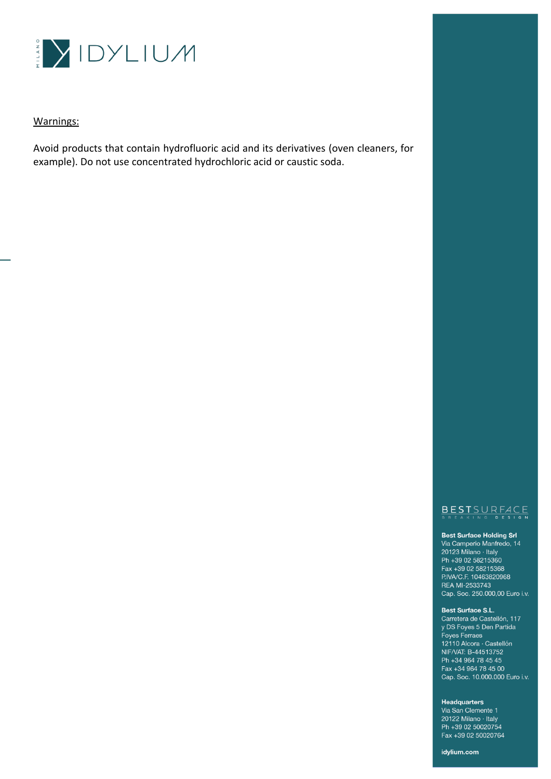

Avoid products that contain hydrofluoric acid and its derivatives (oven cleaners, for example). Do not use concentrated hydrochloric acid or caustic soda.

## BESTSURFACE

#### **Best Surface Holding Srl**

Via Camperio Manfredo, 14 20123 Milano · Italy Ph +39 02 58215360 Fax +39 02 58215368 P.IVA/C.F. 10463820968 REA MI-2533743 Cap. Soc. 250.000,00 Euro i.v.

#### Best Surface S.L.

Carretera de Castellón, 117 y DS Foyes 5 Den Partida Foyes Ferraes 12110 Alcora · Castellón NIF/VAT: B-44513752 Ph +34 964 78 45 45 Fax +34 964 78 45 00 Cap. Soc. 10.000.000 Euro i.v.

#### Headquarters

Via San Clemente 1 20122 Milano · Italy Ph +39 02 50020754 Fax +39 02 50020764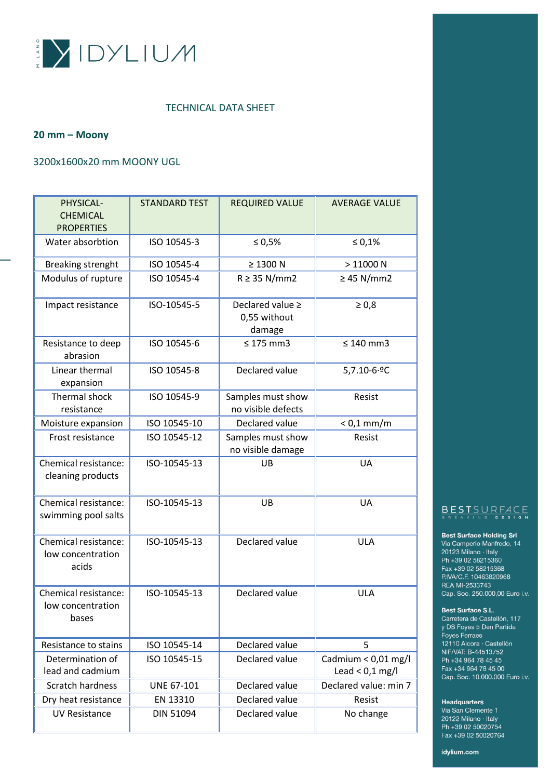

### **20 mm – Moony**

## 3200x1600x20 mm MOONY UGL

| PHYSICAL-<br><b>CHEMICAL</b><br><b>PROPERTIES</b>  | <b>STANDARD TEST</b> | <b>REQUIRED VALUE</b>                           | <b>AVERAGE VALUE</b>                     |
|----------------------------------------------------|----------------------|-------------------------------------------------|------------------------------------------|
| Water absorbtion                                   | ISO 10545-3          | $\leq 0,5\%$                                    | $\leq 0.1\%$                             |
| <b>Breaking strenght</b>                           | ISO 10545-4          | $\geq$ 1300 N                                   | >11000N                                  |
| Modulus of rupture                                 | ISO 10545-4          | $R \geq 35$ N/mm2                               | $\geq$ 45 N/mm2                          |
| Impact resistance                                  | ISO-10545-5          | Declared value $\geq$<br>0,55 without<br>damage | $\geq 0.8$                               |
| Resistance to deep<br>abrasion                     | ISO 10545-6          | $\leq 175$ mm3                                  | $\leq 140$ mm3                           |
| Linear thermal<br>expansion                        | ISO 10545-8          | Declared value                                  | $5,7.10 - 6.9C$                          |
| <b>Thermal shock</b><br>resistance                 | ISO 10545-9          | Samples must show<br>no visible defects         | Resist                                   |
| Moisture expansion                                 | ISO 10545-10         | Declared value                                  | $< 0.1$ mm/m                             |
| Frost resistance                                   | ISO 10545-12         | Samples must show<br>no visible damage          | Resist                                   |
| Chemical resistance:<br>cleaning products          | ISO-10545-13         | UB                                              | UA                                       |
| Chemical resistance:<br>swimming pool salts        | ISO-10545-13         | UB                                              | <b>UA</b>                                |
| Chemical resistance:<br>low concentration<br>acids | ISO-10545-13         | Declared value                                  | <b>ULA</b>                               |
| Chemical resistance:<br>low concentration<br>bases | ISO-10545-13         | Declared value                                  | <b>ULA</b>                               |
| Resistance to stains                               | ISO 10545-14         | Declared value                                  | 5                                        |
| Determination of<br>lead and cadmium               | ISO 10545-15         | Declared value                                  | Cadmium < 0,01 mg/l<br>Lead $< 0.1$ mg/l |
| Scratch hardness                                   | <b>UNE 67-101</b>    | Declared value                                  | Declared value: min 7                    |
| Dry heat resistance                                | EN 13310             | Declared value                                  | Resist                                   |
| <b>UV Resistance</b>                               | DIN 51094            | Declared value                                  | No change                                |

## BESTSURFACE

#### **Best Surface Holding Srl**

Via Camperio Manfredo, 14 via Sampono Manno<br>20123 Milano - Italy<br>Ph +39 02 58215360 Fax +39 02 58215368 P.IVA/C.F. 10463820968 REA MI-2533743 Cap. Soc. 250.000,00 Euro i.v.

#### Best Surface S.L.

Carretera de Castellón, 117 y DS Foyes 5 Den Partida Foyes Ferraes 12110 Alcora · Castellón NIF/VAT: B-44513752 Ph +34 964 78 45 45 Fax +34 964 78 45 00 Cap. Soc. 10.000.000 Euro i.v.

### Headquarters

Via San Clemente 1 20122 Milano · Italy Ph +39 02 50020754 Fax +39 02 50020764